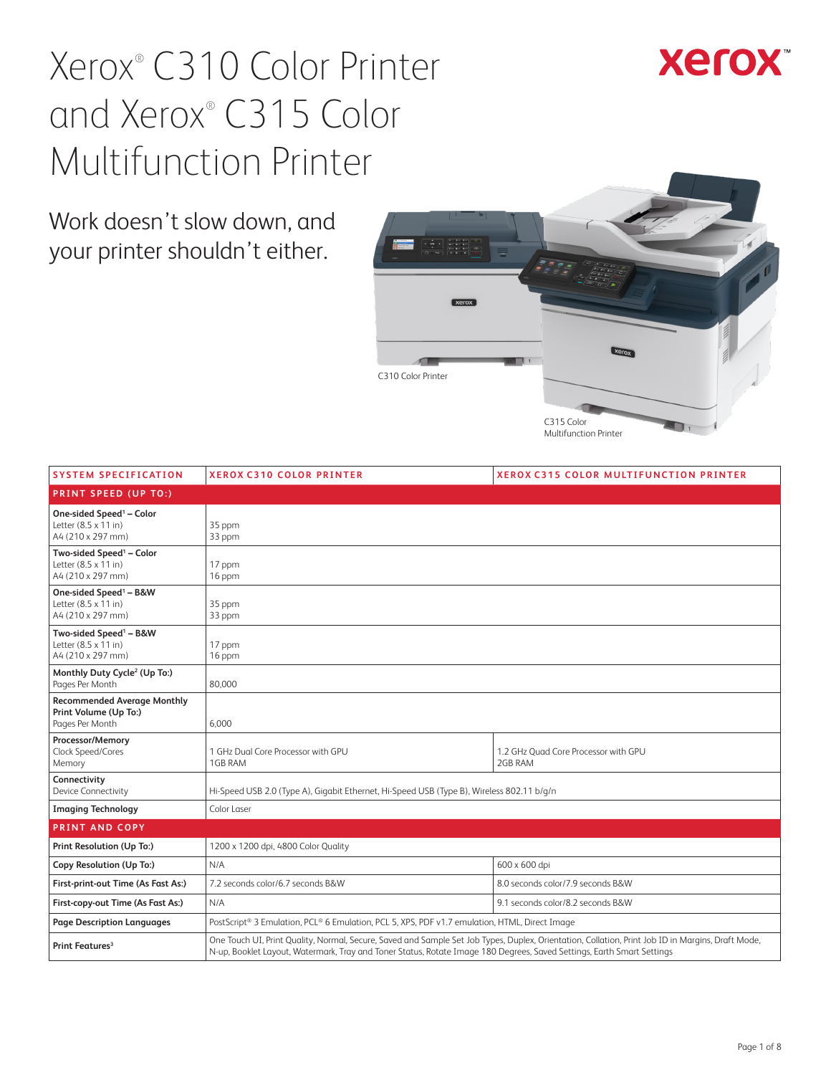

Work doesn't slow down, and your printer shouldn't either.



| <b>SYSTEM SPECIFICATION</b>                                                       | <b>XEROX C310 COLOR PRINTER</b>                                                                                                                                                                                                                                             | <b>XEROX C315 COLOR MULTIFUNCTION PRINTER</b>   |  |
|-----------------------------------------------------------------------------------|-----------------------------------------------------------------------------------------------------------------------------------------------------------------------------------------------------------------------------------------------------------------------------|-------------------------------------------------|--|
| <b>PRINT SPEED (UP TO:)</b>                                                       |                                                                                                                                                                                                                                                                             |                                                 |  |
| One-sided Speed <sup>1</sup> - Color<br>Letter (8.5 x 11 in)<br>A4 (210 x 297 mm) | 35 ppm<br>33 ppm                                                                                                                                                                                                                                                            |                                                 |  |
| Two-sided Speed <sup>1</sup> - Color<br>Letter (8.5 x 11 in)<br>A4 (210 x 297 mm) | 17 ppm<br>16 ppm                                                                                                                                                                                                                                                            |                                                 |  |
| One-sided Speed <sup>1</sup> - B&W<br>Letter (8.5 x 11 in)<br>A4 (210 x 297 mm)   | 35 ppm<br>33 ppm                                                                                                                                                                                                                                                            |                                                 |  |
| Two-sided Speed <sup>1</sup> - B&W<br>Letter (8.5 x 11 in)<br>A4 (210 x 297 mm)   | 17 ppm<br>16 ppm                                                                                                                                                                                                                                                            |                                                 |  |
| Monthly Duty Cycle <sup>2</sup> (Up To:)<br>Pages Per Month                       | 80.000                                                                                                                                                                                                                                                                      |                                                 |  |
| <b>Recommended Average Monthly</b><br>Print Volume (Up To:)<br>Pages Per Month    | 6.000                                                                                                                                                                                                                                                                       |                                                 |  |
| Processor/Memory<br>Clock Speed/Cores<br>Memory                                   | 1 GHz Dual Core Processor with GPU<br>1GB RAM                                                                                                                                                                                                                               | 1.2 GHz Quad Core Processor with GPU<br>2GB RAM |  |
| Connectivity<br>Device Connectivity                                               | Hi-Speed USB 2.0 (Type A), Gigabit Ethernet, Hi-Speed USB (Type B), Wireless 802.11 b/g/n                                                                                                                                                                                   |                                                 |  |
| <b>Imaging Technology</b>                                                         | Color Laser                                                                                                                                                                                                                                                                 |                                                 |  |
| <b>PRINT AND COPY</b>                                                             |                                                                                                                                                                                                                                                                             |                                                 |  |
| Print Resolution (Up To:)                                                         | 1200 x 1200 dpi, 4800 Color Quality                                                                                                                                                                                                                                         |                                                 |  |
| Copy Resolution (Up To:)                                                          | N/A                                                                                                                                                                                                                                                                         | 600 x 600 dpi                                   |  |
| First-print-out Time (As Fast As:)                                                | 7.2 seconds color/6.7 seconds B&W                                                                                                                                                                                                                                           | 8.0 seconds color/7.9 seconds B&W               |  |
| First-copy-out Time (As Fast As:)                                                 | N/A                                                                                                                                                                                                                                                                         | 9.1 seconds color/8.2 seconds B&W               |  |
| <b>Page Description Languages</b>                                                 | PostScript® 3 Emulation, PCL® 6 Emulation, PCL 5, XPS, PDF v1.7 emulation, HTML, Direct Image                                                                                                                                                                               |                                                 |  |
| Print Features <sup>3</sup>                                                       | One Touch UI, Print Quality, Normal, Secure, Saved and Sample Set Job Types, Duplex, Orientation, Collation, Print Job ID in Margins, Draft Mode,<br>N-up, Booklet Layout, Watermark, Tray and Toner Status, Rotate Image 180 Degrees, Saved Settings, Earth Smart Settings |                                                 |  |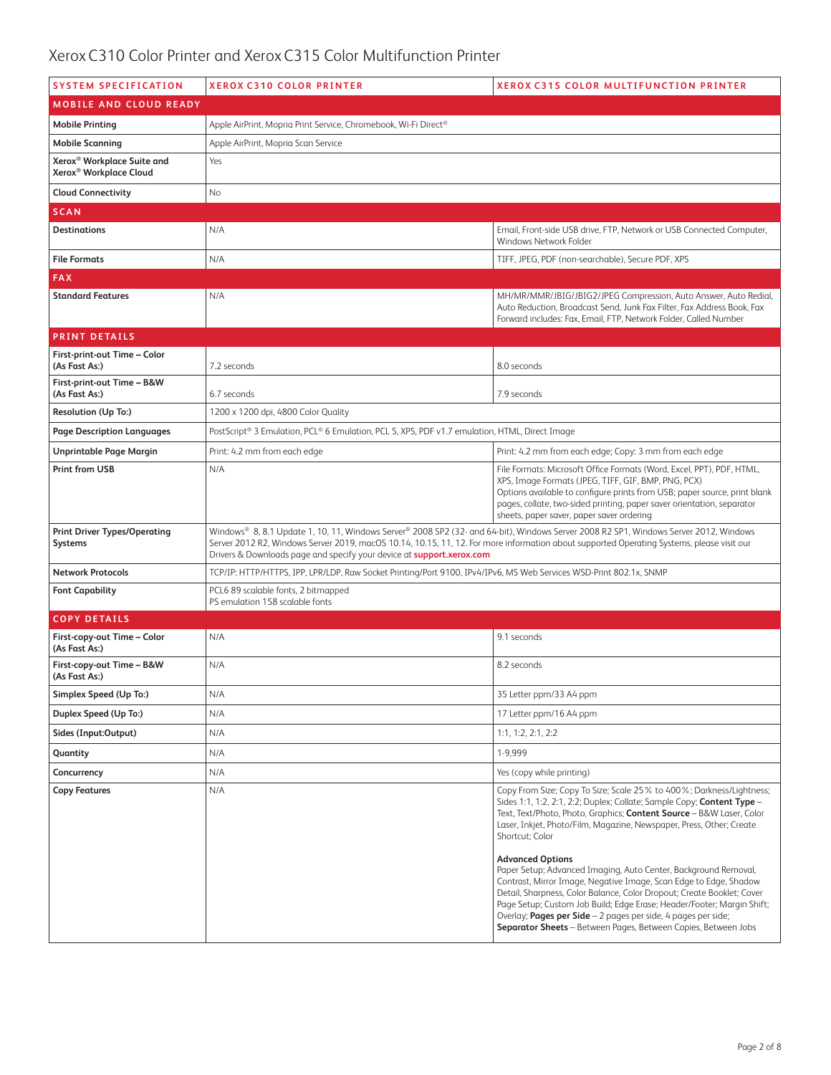| <b>SYSTEM SPECIFICATION</b>                                                  | <b>XEROX C310 COLOR PRINTER</b><br><b>XEROX C315 COLOR MULTIFUNCTION PRINTER</b>                                                                                                                                                                                                                                                                                   |                                                                                                                                                                                                                                                                                                                                                                                                                                                        |  |
|------------------------------------------------------------------------------|--------------------------------------------------------------------------------------------------------------------------------------------------------------------------------------------------------------------------------------------------------------------------------------------------------------------------------------------------------------------|--------------------------------------------------------------------------------------------------------------------------------------------------------------------------------------------------------------------------------------------------------------------------------------------------------------------------------------------------------------------------------------------------------------------------------------------------------|--|
| <b>MOBILE AND CLOUD READY</b>                                                |                                                                                                                                                                                                                                                                                                                                                                    |                                                                                                                                                                                                                                                                                                                                                                                                                                                        |  |
| <b>Mobile Printing</b>                                                       | Apple AirPrint, Mopria Print Service, Chromebook, Wi-Fi Direct®                                                                                                                                                                                                                                                                                                    |                                                                                                                                                                                                                                                                                                                                                                                                                                                        |  |
| <b>Mobile Scanning</b>                                                       | Apple AirPrint, Mopria Scan Service                                                                                                                                                                                                                                                                                                                                |                                                                                                                                                                                                                                                                                                                                                                                                                                                        |  |
| Xerox <sup>®</sup> Workplace Suite and<br>Xerox <sup>®</sup> Workplace Cloud | Yes                                                                                                                                                                                                                                                                                                                                                                |                                                                                                                                                                                                                                                                                                                                                                                                                                                        |  |
| <b>Cloud Connectivity</b>                                                    | No                                                                                                                                                                                                                                                                                                                                                                 |                                                                                                                                                                                                                                                                                                                                                                                                                                                        |  |
| <b>SCAN</b>                                                                  |                                                                                                                                                                                                                                                                                                                                                                    |                                                                                                                                                                                                                                                                                                                                                                                                                                                        |  |
| <b>Destinations</b>                                                          | N/A                                                                                                                                                                                                                                                                                                                                                                | Email, Front-side USB drive, FTP, Network or USB Connected Computer,<br>Windows Network Folder                                                                                                                                                                                                                                                                                                                                                         |  |
| <b>File Formats</b>                                                          | N/A                                                                                                                                                                                                                                                                                                                                                                | TIFF, JPEG, PDF (non-searchable), Secure PDF, XPS                                                                                                                                                                                                                                                                                                                                                                                                      |  |
| <b>FAX</b>                                                                   |                                                                                                                                                                                                                                                                                                                                                                    |                                                                                                                                                                                                                                                                                                                                                                                                                                                        |  |
| <b>Standard Features</b>                                                     | N/A                                                                                                                                                                                                                                                                                                                                                                | MH/MR/MMR/JBIG/JBIG2/JPEG Compression, Auto Answer, Auto Redial,<br>Auto Reduction, Broadcast Send, Junk Fax Filter, Fax Address Book, Fax<br>Forward includes: Fax, Email, FTP, Network Folder, Called Number                                                                                                                                                                                                                                         |  |
| <b>PRINT DETAILS</b>                                                         |                                                                                                                                                                                                                                                                                                                                                                    |                                                                                                                                                                                                                                                                                                                                                                                                                                                        |  |
| First-print-out Time - Color<br>(As Fast As:)                                | 7.2 seconds                                                                                                                                                                                                                                                                                                                                                        | 8.0 seconds                                                                                                                                                                                                                                                                                                                                                                                                                                            |  |
| First-print-out Time - B&W<br>(As Fast As:)                                  | 6.7 seconds                                                                                                                                                                                                                                                                                                                                                        | 7.9 seconds                                                                                                                                                                                                                                                                                                                                                                                                                                            |  |
| Resolution (Up To:)                                                          | 1200 x 1200 dpi, 4800 Color Quality                                                                                                                                                                                                                                                                                                                                |                                                                                                                                                                                                                                                                                                                                                                                                                                                        |  |
| Page Description Languages                                                   | PostScript® 3 Emulation, PCL® 6 Emulation, PCL 5, XPS, PDF v1.7 emulation, HTML, Direct Image                                                                                                                                                                                                                                                                      |                                                                                                                                                                                                                                                                                                                                                                                                                                                        |  |
| <b>Unprintable Page Margin</b>                                               | Print: 4.2 mm from each edge                                                                                                                                                                                                                                                                                                                                       | Print: 4.2 mm from each edge; Copy: 3 mm from each edge                                                                                                                                                                                                                                                                                                                                                                                                |  |
| <b>Print from USB</b>                                                        | N/A                                                                                                                                                                                                                                                                                                                                                                | File Formats: Microsoft Office Formats (Word, Excel, PPT), PDF, HTML,<br>XPS, Image Formats (JPEG, TIFF, GIF, BMP, PNG, PCX)<br>Options available to configure prints from USB; paper source, print blank<br>pages, collate, two-sided printing, paper saver orientation, separator<br>sheets, paper saver, paper saver ordering                                                                                                                       |  |
| <b>Print Driver Types/Operating</b><br>Systems                               | Windows® 8, 8.1 Update 1, 10, 11, Windows Server® 2008 SP2 (32- and 64-bit), Windows Server 2008 R2 SP1, Windows Server 2012, Windows<br>Server 2012 R2, Windows Server 2019, macOS 10.14, 10.15, 11, 12. For more information about supported Operating Systems, please visit our<br>Drivers & Downloads page and specify your device at <b>support.xerox.com</b> |                                                                                                                                                                                                                                                                                                                                                                                                                                                        |  |
| <b>Network Protocols</b>                                                     | TCP/IP: HTTP/HTTPS, IPP, LPR/LDP, Raw Socket Printing/Port 9100, IPv4/IPv6, MS Web Services WSD-Print 802.1x, SNMP                                                                                                                                                                                                                                                 |                                                                                                                                                                                                                                                                                                                                                                                                                                                        |  |
| <b>Font Capability</b>                                                       | PCL6 89 scalable fonts, 2 bitmapped<br>PS emulation 158 scalable fonts                                                                                                                                                                                                                                                                                             |                                                                                                                                                                                                                                                                                                                                                                                                                                                        |  |
| <b>COPY DETAILS</b>                                                          |                                                                                                                                                                                                                                                                                                                                                                    |                                                                                                                                                                                                                                                                                                                                                                                                                                                        |  |
| First-copy-out Time - Color<br>(As Fast As:)                                 | N/A                                                                                                                                                                                                                                                                                                                                                                | 9.1 seconds                                                                                                                                                                                                                                                                                                                                                                                                                                            |  |
| First-copy-out Time - B&W<br>(As Fast As:)                                   | N/A                                                                                                                                                                                                                                                                                                                                                                | 8.2 seconds                                                                                                                                                                                                                                                                                                                                                                                                                                            |  |
| Simplex Speed (Up To:)                                                       | N/A                                                                                                                                                                                                                                                                                                                                                                | 35 Letter ppm/33 A4 ppm                                                                                                                                                                                                                                                                                                                                                                                                                                |  |
| Duplex Speed (Up To:)                                                        | N/A                                                                                                                                                                                                                                                                                                                                                                | 17 Letter ppm/16 A4 ppm                                                                                                                                                                                                                                                                                                                                                                                                                                |  |
| Sides (Input:Output)                                                         | N/A                                                                                                                                                                                                                                                                                                                                                                | 1:1, 1:2, 2:1, 2:2                                                                                                                                                                                                                                                                                                                                                                                                                                     |  |
| Quantity                                                                     | N/A                                                                                                                                                                                                                                                                                                                                                                | 1-9,999                                                                                                                                                                                                                                                                                                                                                                                                                                                |  |
| Concurrency                                                                  | N/A                                                                                                                                                                                                                                                                                                                                                                | Yes (copy while printing)                                                                                                                                                                                                                                                                                                                                                                                                                              |  |
| <b>Copy Features</b>                                                         | N/A                                                                                                                                                                                                                                                                                                                                                                | Copy From Size; Copy To Size; Scale 25% to 400%; Darkness/Lightness;<br>Sides 1:1, 1:2, 2:1, 2:2; Duplex; Collate; Sample Copy; Content Type -<br>Text, Text/Photo, Photo, Graphics; Content Source - B&W Laser, Color<br>Laser, Inkjet, Photo/Film, Magazine, Newspaper, Press, Other; Create<br>Shortcut; Color                                                                                                                                      |  |
|                                                                              |                                                                                                                                                                                                                                                                                                                                                                    | <b>Advanced Options</b><br>Paper Setup; Advanced Imaging, Auto Center, Background Removal,<br>Contrast, Mirror Image, Negative Image, Scan Edge to Edge, Shadow<br>Detail, Sharpness, Color Balance, Color Dropout; Create Booklet; Cover<br>Page Setup; Custom Job Build; Edge Erase; Header/Footer; Margin Shift;<br>Overlay; Pages per Side - 2 pages per side, 4 pages per side;<br>Separator Sheets - Between Pages, Between Copies, Between Jobs |  |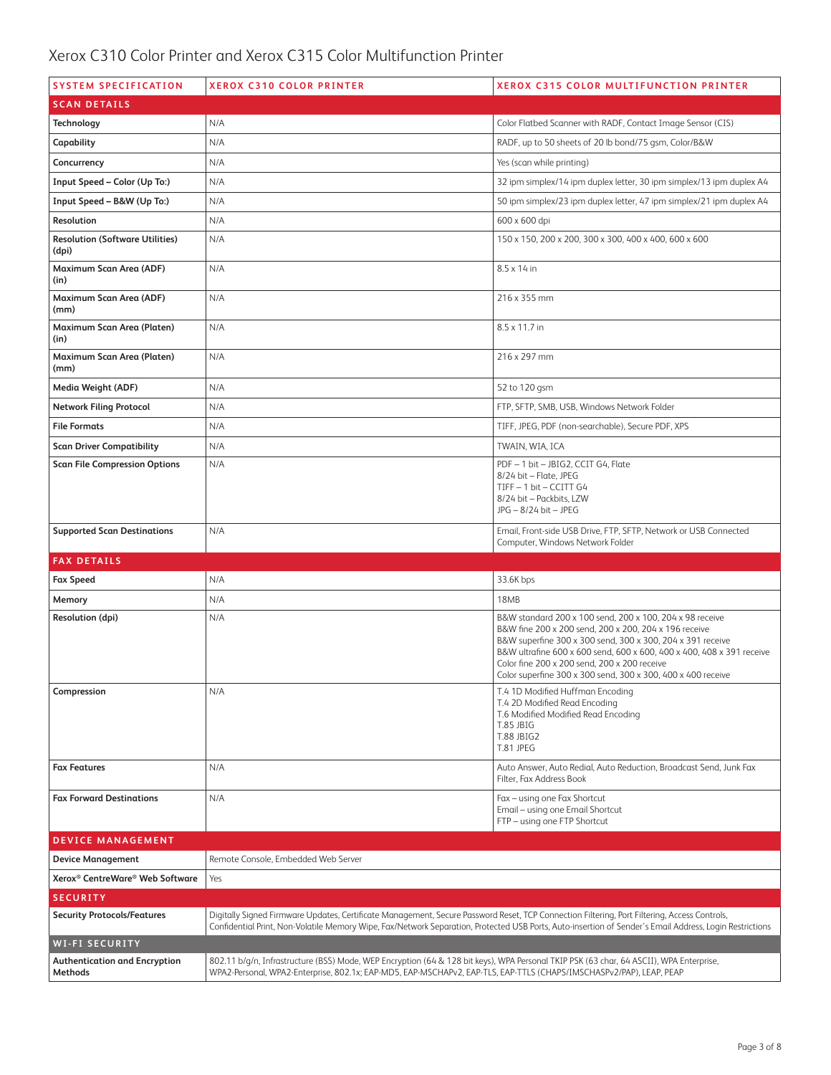| <b>SYSTEM SPECIFICATION</b>                     | <b>XEROX C310 COLOR PRINTER</b><br><b>XEROX C315 COLOR MULTIFUNCTION PRINTER</b>                                                             |                                                                                                                                                                                                                                                                                                                                                                          |  |  |
|-------------------------------------------------|----------------------------------------------------------------------------------------------------------------------------------------------|--------------------------------------------------------------------------------------------------------------------------------------------------------------------------------------------------------------------------------------------------------------------------------------------------------------------------------------------------------------------------|--|--|
| <b>SCAN DETAILS</b>                             |                                                                                                                                              |                                                                                                                                                                                                                                                                                                                                                                          |  |  |
| Technology                                      | N/A                                                                                                                                          | Color Flatbed Scanner with RADF, Contact Image Sensor (CIS)                                                                                                                                                                                                                                                                                                              |  |  |
| Capability                                      | N/A                                                                                                                                          | RADF, up to 50 sheets of 20 lb bond/75 gsm, Color/B&W                                                                                                                                                                                                                                                                                                                    |  |  |
| Concurrency                                     | N/A                                                                                                                                          | Yes (scan while printing)                                                                                                                                                                                                                                                                                                                                                |  |  |
| Input Speed - Color (Up To:)                    | N/A                                                                                                                                          | 32 ipm simplex/14 ipm duplex letter, 30 ipm simplex/13 ipm duplex A4                                                                                                                                                                                                                                                                                                     |  |  |
| Input Speed - B&W (Up To:)                      | N/A                                                                                                                                          | 50 ipm simplex/23 ipm duplex letter, 47 ipm simplex/21 ipm duplex A4                                                                                                                                                                                                                                                                                                     |  |  |
| Resolution                                      | N/A<br>600 x 600 dpi                                                                                                                         |                                                                                                                                                                                                                                                                                                                                                                          |  |  |
| <b>Resolution (Software Utilities)</b><br>(dpi) | N/A                                                                                                                                          | 150 x 150, 200 x 200, 300 x 300, 400 x 400, 600 x 600                                                                                                                                                                                                                                                                                                                    |  |  |
| Maximum Scan Area (ADF)<br>(in)                 | N/A                                                                                                                                          | $8.5 \times 14$ in                                                                                                                                                                                                                                                                                                                                                       |  |  |
| Maximum Scan Area (ADF)<br>(mm)                 | N/A                                                                                                                                          | 216 x 355 mm                                                                                                                                                                                                                                                                                                                                                             |  |  |
| Maximum Scan Area (Platen)<br>(in)              | N/A                                                                                                                                          | 8.5 x 11.7 in                                                                                                                                                                                                                                                                                                                                                            |  |  |
| Maximum Scan Area (Platen)<br>(mm)              | N/A                                                                                                                                          | 216 x 297 mm                                                                                                                                                                                                                                                                                                                                                             |  |  |
| Media Weight (ADF)                              | N/A                                                                                                                                          | 52 to 120 gsm                                                                                                                                                                                                                                                                                                                                                            |  |  |
| <b>Network Filing Protocol</b>                  | N/A                                                                                                                                          | FTP, SFTP, SMB, USB, Windows Network Folder                                                                                                                                                                                                                                                                                                                              |  |  |
| <b>File Formats</b>                             | N/A                                                                                                                                          | TIFF, JPEG, PDF (non-searchable), Secure PDF, XPS                                                                                                                                                                                                                                                                                                                        |  |  |
| <b>Scan Driver Compatibility</b>                | N/A                                                                                                                                          | TWAIN, WIA, ICA                                                                                                                                                                                                                                                                                                                                                          |  |  |
| <b>Scan File Compression Options</b>            | N/A                                                                                                                                          | PDF - 1 bit - JBIG2, CCIT G4, Flate<br>8/24 bit - Flate, JPEG<br>TIFF - 1 bit - CCITT G4<br>8/24 bit - Packbits, LZW<br>JPG - 8/24 bit - JPEG                                                                                                                                                                                                                            |  |  |
|                                                 |                                                                                                                                              |                                                                                                                                                                                                                                                                                                                                                                          |  |  |
| <b>Supported Scan Destinations</b>              | N/A                                                                                                                                          | Email, Front-side USB Drive, FTP, SFTP, Network or USB Connected<br>Computer, Windows Network Folder                                                                                                                                                                                                                                                                     |  |  |
| <b>FAX DETAILS</b>                              |                                                                                                                                              |                                                                                                                                                                                                                                                                                                                                                                          |  |  |
| <b>Fax Speed</b>                                | N/A                                                                                                                                          | 33.6K bps                                                                                                                                                                                                                                                                                                                                                                |  |  |
| Memory                                          | N/A                                                                                                                                          | 18MB                                                                                                                                                                                                                                                                                                                                                                     |  |  |
| Resolution (dpi)                                | N/A                                                                                                                                          | B&W standard 200 x 100 send, 200 x 100, 204 x 98 receive<br>B&W fine 200 x 200 send, 200 x 200, 204 x 196 receive<br>B&W superfine 300 x 300 send, 300 x 300, 204 x 391 receive<br>B&W ultrafine 600 x 600 send, 600 x 600, 400 x 400, 408 x 391 receive<br>Color fine 200 x 200 send, 200 x 200 receive<br>Color superfine 300 x 300 send, 300 x 300, 400 x 400 receive |  |  |
| Compression                                     | N/A                                                                                                                                          | T.4 1D Modified Huffman Encoding<br>T.4 2D Modified Read Encoding<br>T.6 Modified Modified Read Encoding<br><b>T.85 JBIG</b><br>T.88 JBIG2<br>T.81 JPEG                                                                                                                                                                                                                  |  |  |
| <b>Fax Features</b>                             | N/A                                                                                                                                          | Auto Answer, Auto Redial, Auto Reduction, Broadcast Send, Junk Fax<br>Filter, Fax Address Book                                                                                                                                                                                                                                                                           |  |  |
| <b>Fax Forward Destinations</b>                 | N/A                                                                                                                                          | Fax - using one Fax Shortcut<br>Email - using one Email Shortcut<br>FTP - using one FTP Shortcut                                                                                                                                                                                                                                                                         |  |  |
| <b>DEVICE MANAGEMENT</b>                        |                                                                                                                                              |                                                                                                                                                                                                                                                                                                                                                                          |  |  |
| <b>Device Management</b>                        | Remote Console, Embedded Web Server                                                                                                          |                                                                                                                                                                                                                                                                                                                                                                          |  |  |
| Xerox <sup>®</sup> CentreWare® Web Software     | Yes                                                                                                                                          |                                                                                                                                                                                                                                                                                                                                                                          |  |  |
| <b>SECURITY</b>                                 |                                                                                                                                              |                                                                                                                                                                                                                                                                                                                                                                          |  |  |
| <b>Security Protocols/Features</b>              | Digitally Signed Firmware Updates, Certificate Management, Secure Password Reset, TCP Connection Filtering, Port Filtering, Access Controls, | Confidential Print, Non-Volatile Memory Wipe, Fax/Network Separation, Protected USB Ports, Auto-insertion of Sender's Email Address, Login Restrictions                                                                                                                                                                                                                  |  |  |
| <b>WI-FI SECURITY</b>                           |                                                                                                                                              |                                                                                                                                                                                                                                                                                                                                                                          |  |  |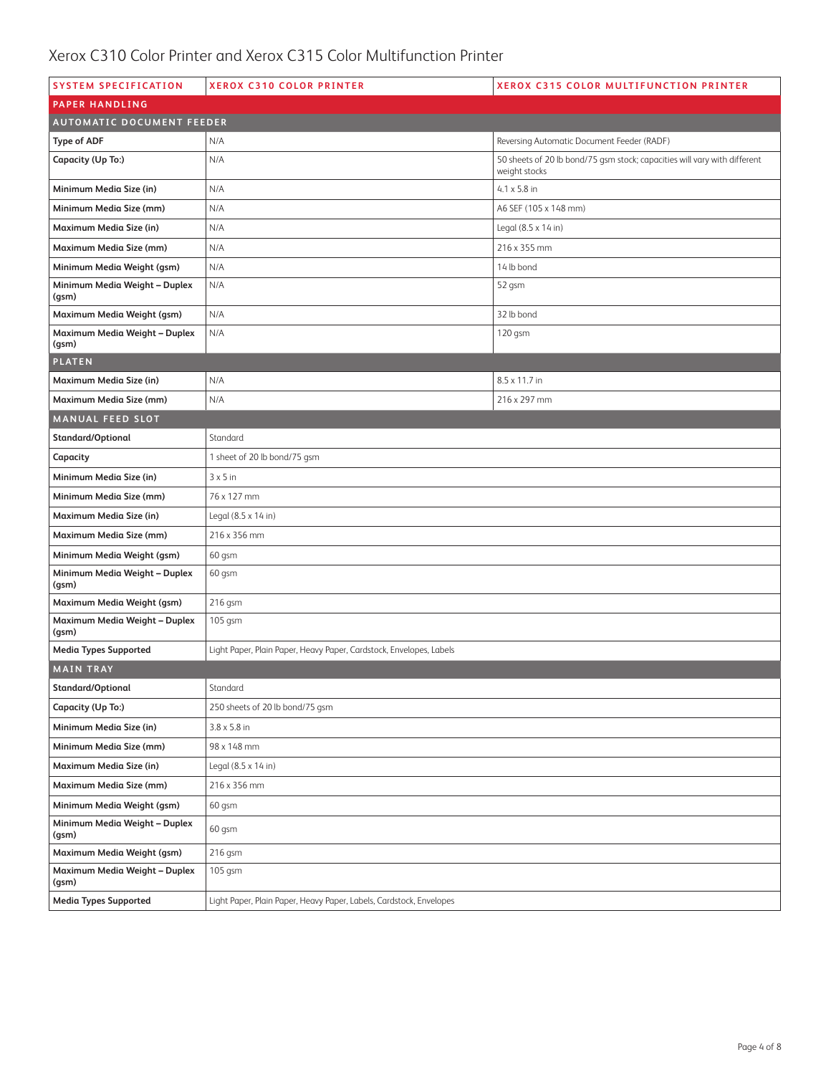| <b>SYSTEM SPECIFICATION</b>            | <b>XEROX C310 COLOR PRINTER</b>                                     | <b>XEROX C315 COLOR MULTIFUNCTION PRINTER</b>                                              |
|----------------------------------------|---------------------------------------------------------------------|--------------------------------------------------------------------------------------------|
| <b>PAPER HANDLING</b>                  |                                                                     |                                                                                            |
| <b>AUTOMATIC DOCUMENT FEEDER</b>       |                                                                     |                                                                                            |
| <b>Type of ADF</b>                     | N/A                                                                 | Reversing Automatic Document Feeder (RADF)                                                 |
| Capacity (Up To:)                      | N/A                                                                 | 50 sheets of 20 lb bond/75 gsm stock; capacities will vary with different<br>weight stocks |
| Minimum Media Size (in)                | N/A                                                                 | $4.1 \times 5.8$ in                                                                        |
| Minimum Media Size (mm)                | N/A                                                                 | A6 SEF (105 x 148 mm)                                                                      |
| Maximum Media Size (in)                | N/A                                                                 | Legal (8.5 x 14 in)                                                                        |
| Maximum Media Size (mm)                | N/A                                                                 | 216 x 355 mm                                                                               |
| Minimum Media Weight (gsm)             | N/A                                                                 | 14 lb bond                                                                                 |
| Minimum Media Weight - Duplex<br>(gsm) | N/A                                                                 | 52 gsm                                                                                     |
| Maximum Media Weight (gsm)             | N/A<br>32 lb bond                                                   |                                                                                            |
| Maximum Media Weight - Duplex<br>(gsm) | N/A                                                                 | 120 gsm                                                                                    |
| <b>PLATEN</b>                          |                                                                     |                                                                                            |
| Maximum Media Size (in)                | N/A                                                                 | 8.5 x 11.7 in                                                                              |
| Maximum Media Size (mm)                | N/A                                                                 | 216 x 297 mm                                                                               |
| <b>MANUAL FEED SLOT</b>                |                                                                     |                                                                                            |
| Standard/Optional                      | Standard                                                            |                                                                                            |
| Capacity                               | 1 sheet of 20 lb bond/75 gsm                                        |                                                                                            |
| Minimum Media Size (in)                | $3 \times 5$ in                                                     |                                                                                            |
| Minimum Media Size (mm)                | 76 x 127 mm                                                         |                                                                                            |
| Maximum Media Size (in)                | Legal (8.5 x 14 in)                                                 |                                                                                            |
| Maximum Media Size (mm)                | 216 x 356 mm                                                        |                                                                                            |
| Minimum Media Weight (gsm)             | 60 gsm                                                              |                                                                                            |
| Minimum Media Weight - Duplex<br>(gsm) | 60 gsm                                                              |                                                                                            |
| Maximum Media Weight (gsm)             | 216 gsm                                                             |                                                                                            |
| Maximum Media Weight - Duplex<br>(gsm) | 105 gsm                                                             |                                                                                            |
| <b>Media Types Supported</b>           | Light Paper, Plain Paper, Heavy Paper, Cardstock, Envelopes, Labels |                                                                                            |
| <b>MAIN TRAY</b>                       |                                                                     |                                                                                            |
| Standard/Optional                      | Standard                                                            |                                                                                            |
| Capacity (Up To:)                      | 250 sheets of 20 lb bond/75 gsm                                     |                                                                                            |
| Minimum Media Size (in)                | $3.8 \times 5.8$ in                                                 |                                                                                            |
| Minimum Media Size (mm)                | 98 x 148 mm                                                         |                                                                                            |
| Maximum Media Size (in)                | Legal (8.5 x 14 in)                                                 |                                                                                            |
| Maximum Media Size (mm)                | 216 x 356 mm                                                        |                                                                                            |
| Minimum Media Weight (gsm)             | 60 qsm                                                              |                                                                                            |
| Minimum Media Weight - Duplex<br>(gsm) | 60 gsm                                                              |                                                                                            |
| Maximum Media Weight (gsm)             | 216 gsm                                                             |                                                                                            |
| Maximum Media Weight - Duplex<br>(gsm) | 105 gsm                                                             |                                                                                            |
| <b>Media Types Supported</b>           | Light Paper, Plain Paper, Heavy Paper, Labels, Cardstock, Envelopes |                                                                                            |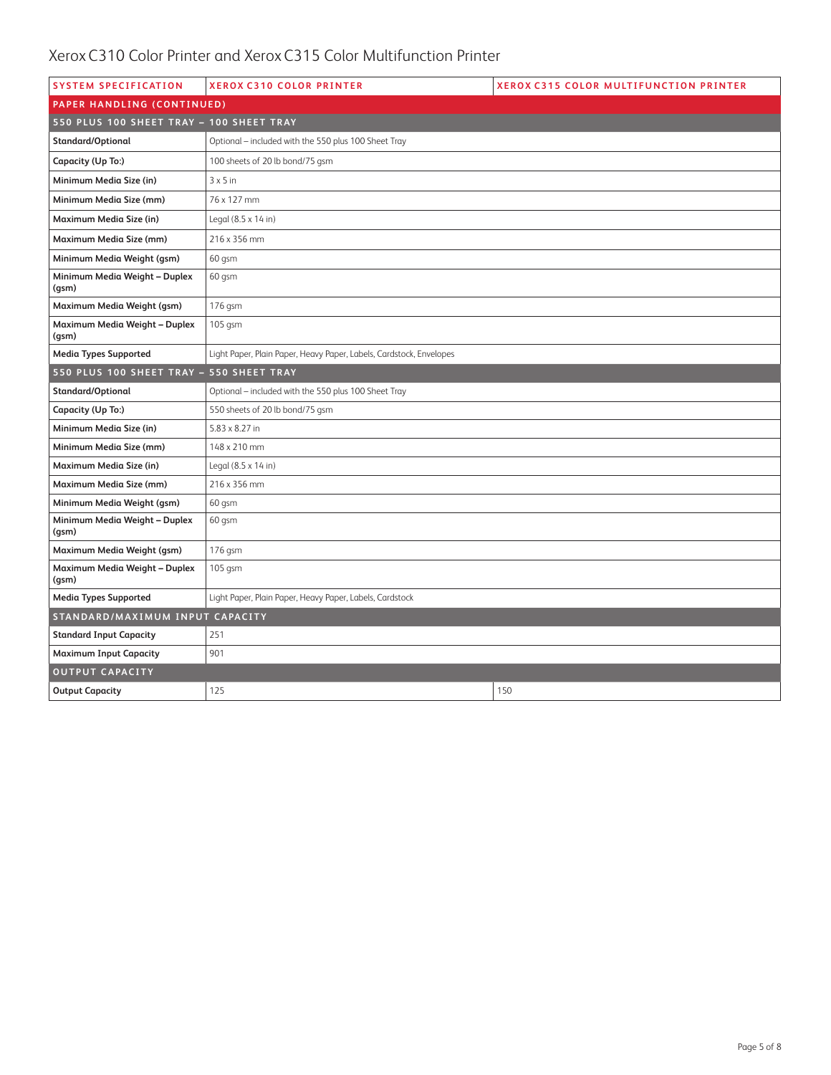| <b>SYSTEM SPECIFICATION</b>              | <b>XEROX C310 COLOR PRINTER</b>                                     | <b>XEROX C315 COLOR MULTIFUNCTION PRINTER</b> |
|------------------------------------------|---------------------------------------------------------------------|-----------------------------------------------|
| PAPER HANDLING (CONTINUED)               |                                                                     |                                               |
| 550 PLUS 100 SHEET TRAY - 100 SHEET TRAY |                                                                     |                                               |
| <b>Standard/Optional</b>                 | Optional - included with the 550 plus 100 Sheet Tray                |                                               |
| Capacity (Up To:)                        | 100 sheets of 20 lb bond/75 gsm                                     |                                               |
| Minimum Media Size (in)                  | $3 \times 5$ in                                                     |                                               |
| Minimum Media Size (mm)                  | 76 x 127 mm                                                         |                                               |
| Maximum Media Size (in)                  | Legal (8.5 x 14 in)                                                 |                                               |
| Maximum Media Size (mm)                  | 216 x 356 mm                                                        |                                               |
| Minimum Media Weight (gsm)               | 60 gsm                                                              |                                               |
| Minimum Media Weight - Duplex<br>(gsm)   | $60$ qsm                                                            |                                               |
| Maximum Media Weight (gsm)               | 176 gsm                                                             |                                               |
| Maximum Media Weight - Duplex<br>(gsm)   | 105 gsm                                                             |                                               |
| <b>Media Types Supported</b>             | Light Paper, Plain Paper, Heavy Paper, Labels, Cardstock, Envelopes |                                               |
| 550 PLUS 100 SHEET TRAY - 550 SHEET TRAY |                                                                     |                                               |
| Standard/Optional                        | Optional - included with the 550 plus 100 Sheet Tray                |                                               |
| Capacity (Up To:)                        | 550 sheets of 20 lb bond/75 gsm                                     |                                               |
| Minimum Media Size (in)                  | 5.83 x 8.27 in                                                      |                                               |
| Minimum Media Size (mm)                  | 148 x 210 mm                                                        |                                               |
| Maximum Media Size (in)                  | Legal (8.5 x 14 in)                                                 |                                               |
| Maximum Media Size (mm)                  | 216 x 356 mm                                                        |                                               |
| Minimum Media Weight (gsm)               | 60 qsm                                                              |                                               |
| Minimum Media Weight - Duplex<br>(gsm)   | 60 gsm                                                              |                                               |
| Maximum Media Weight (gsm)               | 176 gsm                                                             |                                               |
| Maximum Media Weight - Duplex<br>(gsm)   | 105 gsm                                                             |                                               |
| <b>Media Types Supported</b>             | Light Paper, Plain Paper, Heavy Paper, Labels, Cardstock            |                                               |
| STANDARD/MAXIMUM INPUT CAPACITY          |                                                                     |                                               |
| <b>Standard Input Capacity</b>           | 251                                                                 |                                               |
| <b>Maximum Input Capacity</b>            | 901                                                                 |                                               |
| <b>OUTPUT CAPACITY</b>                   |                                                                     |                                               |
| <b>Output Capacity</b>                   | 125                                                                 | 150                                           |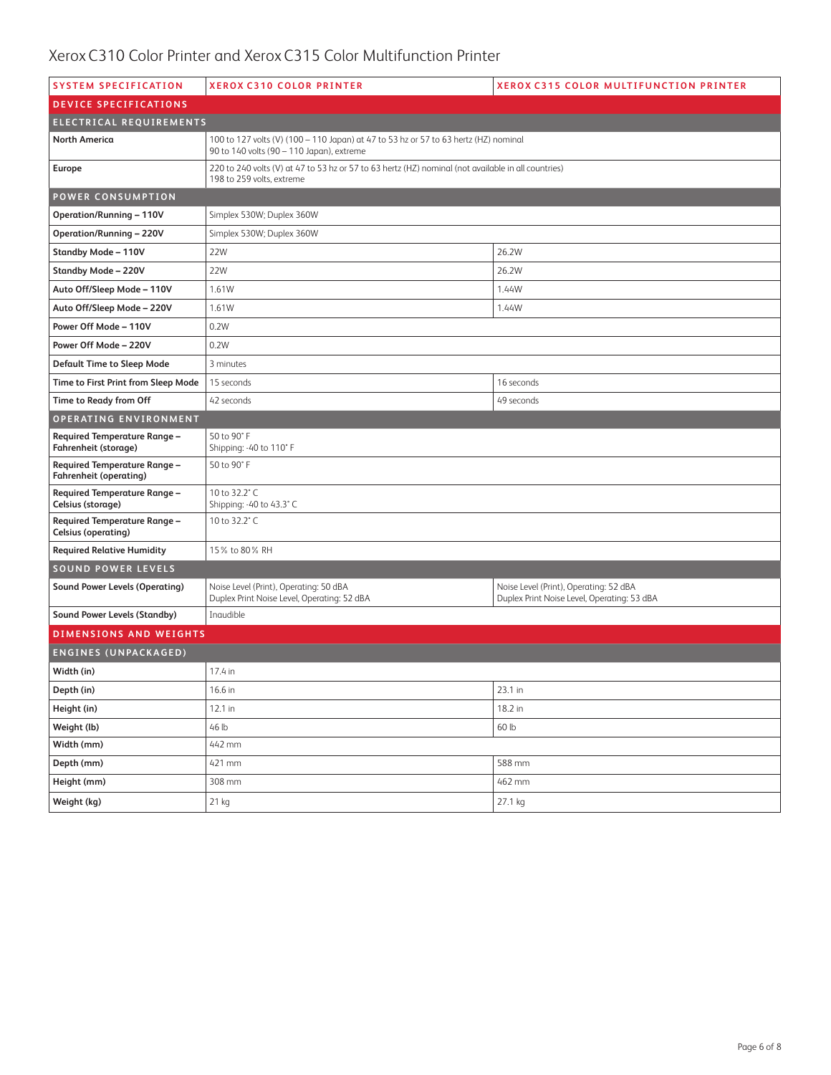| <b>SYSTEM SPECIFICATION</b>                                   | <b>XEROX C310 COLOR PRINTER</b>                                                                                                   | <b>XEROX C315 COLOR MULTIFUNCTION PRINTER</b>                                         |  |
|---------------------------------------------------------------|-----------------------------------------------------------------------------------------------------------------------------------|---------------------------------------------------------------------------------------|--|
| <b>DEVICE SPECIFICATIONS</b>                                  |                                                                                                                                   |                                                                                       |  |
| ELECTRICAL REQUIREMENTS                                       |                                                                                                                                   |                                                                                       |  |
| <b>North America</b>                                          | 100 to 127 volts (V) (100 - 110 Japan) at 47 to 53 hz or 57 to 63 hertz (HZ) nominal<br>90 to 140 volts (90 - 110 Japan), extreme |                                                                                       |  |
| Europe                                                        | 220 to 240 volts (V) at 47 to 53 hz or 57 to 63 hertz (HZ) nominal (not available in all countries)<br>198 to 259 volts, extreme  |                                                                                       |  |
| <b>POWER CONSUMPTION</b>                                      |                                                                                                                                   |                                                                                       |  |
| <b>Operation/Running - 110V</b>                               | Simplex 530W; Duplex 360W                                                                                                         |                                                                                       |  |
| <b>Operation/Running - 220V</b>                               | Simplex 530W; Duplex 360W                                                                                                         |                                                                                       |  |
| <b>Standby Mode - 110V</b>                                    | 26.2W<br>22W                                                                                                                      |                                                                                       |  |
| <b>Standby Mode - 220V</b>                                    | 22W                                                                                                                               | 26.2W                                                                                 |  |
| Auto Off/Sleep Mode - 110V                                    | 1.61W                                                                                                                             | 1.44W                                                                                 |  |
| Auto Off/Sleep Mode - 220V                                    | 1.61W                                                                                                                             | 1.44W                                                                                 |  |
| Power Off Mode - 110V                                         | 0.2W                                                                                                                              |                                                                                       |  |
| Power Off Mode - 220V                                         | 0.2W                                                                                                                              |                                                                                       |  |
| <b>Default Time to Sleep Mode</b>                             | 3 minutes                                                                                                                         |                                                                                       |  |
| Time to First Print from Sleep Mode                           | 15 seconds                                                                                                                        | 16 seconds                                                                            |  |
| Time to Ready from Off                                        | 42 seconds                                                                                                                        | 49 seconds                                                                            |  |
| OPERATING ENVIRONMENT                                         |                                                                                                                                   |                                                                                       |  |
| <b>Required Temperature Range -</b><br>Fahrenheit (storage)   | 50 to 90°F<br>Shipping: -40 to 110° F                                                                                             |                                                                                       |  |
| Required Temperature Range -<br><b>Fahrenheit (operating)</b> | 50 to 90° F                                                                                                                       |                                                                                       |  |
| <b>Required Temperature Range -</b><br>Celsius (storage)      | 10 to 32.2° C<br>Shipping: -40 to 43.3°C                                                                                          |                                                                                       |  |
| Required Temperature Range -<br><b>Celsius (operating)</b>    | 10 to 32.2° C                                                                                                                     |                                                                                       |  |
| <b>Required Relative Humidity</b>                             | 15% to 80% RH                                                                                                                     |                                                                                       |  |
| <b>SOUND POWER LEVELS</b>                                     |                                                                                                                                   |                                                                                       |  |
| <b>Sound Power Levels (Operating)</b>                         | Noise Level (Print), Operating: 50 dBA<br>Duplex Print Noise Level, Operating: 52 dBA                                             | Noise Level (Print), Operating: 52 dBA<br>Duplex Print Noise Level, Operating: 53 dBA |  |
| <b>Sound Power Levels (Standby)</b>                           | Inaudible                                                                                                                         |                                                                                       |  |
| <b>DIMENSIONS AND WEIGHTS</b>                                 |                                                                                                                                   |                                                                                       |  |
| <b>ENGINES (UNPACKAGED)</b>                                   |                                                                                                                                   |                                                                                       |  |
| Width (in)                                                    | 17.4 in                                                                                                                           |                                                                                       |  |
| Depth (in)                                                    | 16.6 in                                                                                                                           | 23.1 in                                                                               |  |
| Height (in)                                                   | 12.1 in                                                                                                                           | 18.2 in                                                                               |  |
| Weight (lb)                                                   | 46 lb                                                                                                                             | 60 lb                                                                                 |  |
| Width (mm)                                                    | 442 mm                                                                                                                            |                                                                                       |  |
| Depth (mm)                                                    | 421 mm                                                                                                                            | 588 mm                                                                                |  |
| Height (mm)                                                   | 308 mm<br>462 mm                                                                                                                  |                                                                                       |  |
| Weight (kg)                                                   | 21 kg                                                                                                                             | 27.1 kg                                                                               |  |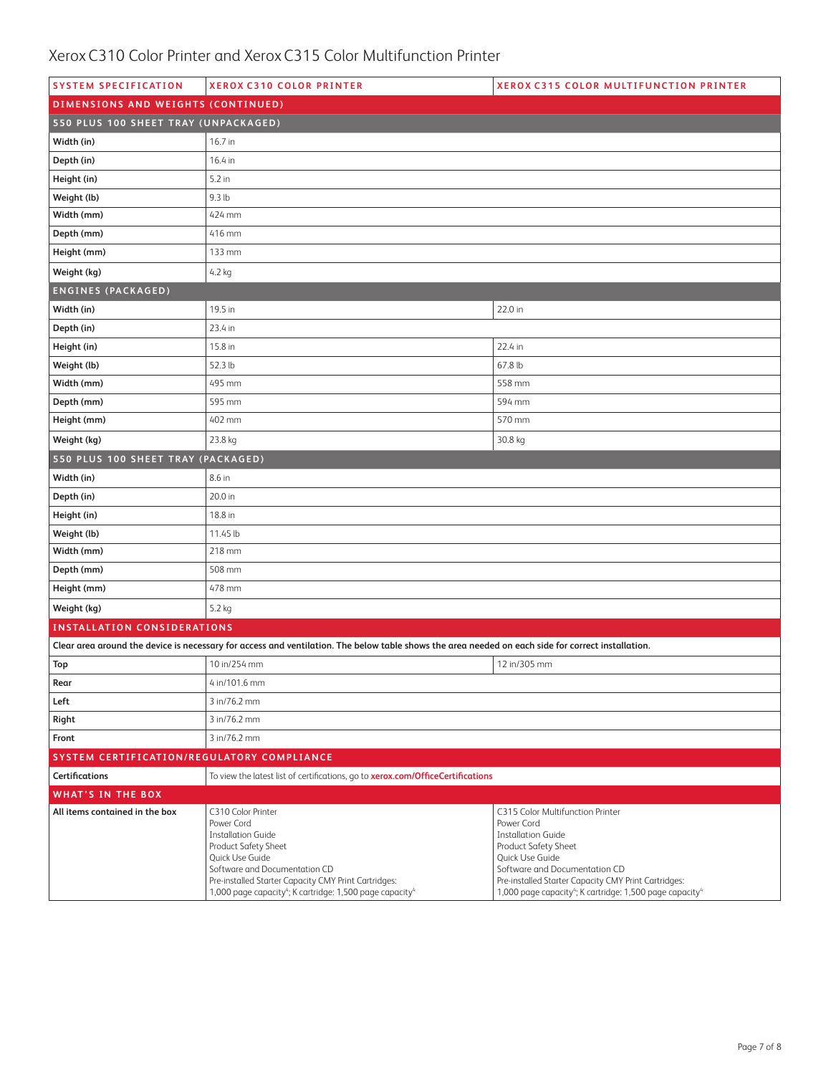| <b>SYSTEM SPECIFICATION</b>                | <b>XEROX C310 COLOR PRINTER</b>                                                                                                                                                                                                                                                       | <b>XEROX C315 COLOR MULTIFUNCTION PRINTER</b>                                                                                                                                                                                                                                                       |  |
|--------------------------------------------|---------------------------------------------------------------------------------------------------------------------------------------------------------------------------------------------------------------------------------------------------------------------------------------|-----------------------------------------------------------------------------------------------------------------------------------------------------------------------------------------------------------------------------------------------------------------------------------------------------|--|
| DIMENSIONS AND WEIGHTS (CONTINUED)         |                                                                                                                                                                                                                                                                                       |                                                                                                                                                                                                                                                                                                     |  |
| 550 PLUS 100 SHEET TRAY (UNPACKAGED)       |                                                                                                                                                                                                                                                                                       |                                                                                                                                                                                                                                                                                                     |  |
| Width (in)                                 | 16.7 in                                                                                                                                                                                                                                                                               |                                                                                                                                                                                                                                                                                                     |  |
| Depth (in)                                 | 16.4 in                                                                                                                                                                                                                                                                               |                                                                                                                                                                                                                                                                                                     |  |
| Height (in)                                | 5.2 in                                                                                                                                                                                                                                                                                |                                                                                                                                                                                                                                                                                                     |  |
| Weight (lb)                                | 9.3 <sub>lb</sub>                                                                                                                                                                                                                                                                     |                                                                                                                                                                                                                                                                                                     |  |
| Width (mm)                                 | 424 mm                                                                                                                                                                                                                                                                                |                                                                                                                                                                                                                                                                                                     |  |
| Depth (mm)                                 | 416 mm                                                                                                                                                                                                                                                                                |                                                                                                                                                                                                                                                                                                     |  |
| Height (mm)                                | 133 mm                                                                                                                                                                                                                                                                                |                                                                                                                                                                                                                                                                                                     |  |
| Weight (kg)                                | 4.2 kg                                                                                                                                                                                                                                                                                |                                                                                                                                                                                                                                                                                                     |  |
| <b>ENGINES (PACKAGED)</b>                  |                                                                                                                                                                                                                                                                                       |                                                                                                                                                                                                                                                                                                     |  |
| Width (in)                                 | 19.5 in                                                                                                                                                                                                                                                                               | 22.0 in                                                                                                                                                                                                                                                                                             |  |
| Depth (in)                                 | 23.4 in                                                                                                                                                                                                                                                                               |                                                                                                                                                                                                                                                                                                     |  |
| Height (in)                                | 15.8 in                                                                                                                                                                                                                                                                               | 22.4 in                                                                                                                                                                                                                                                                                             |  |
| Weight (lb)                                | 52.3 lb                                                                                                                                                                                                                                                                               | 67.8 lb                                                                                                                                                                                                                                                                                             |  |
| Width (mm)                                 | 495 mm                                                                                                                                                                                                                                                                                | 558 mm                                                                                                                                                                                                                                                                                              |  |
| Depth (mm)                                 | 595 mm                                                                                                                                                                                                                                                                                | 594 mm                                                                                                                                                                                                                                                                                              |  |
| Height (mm)                                | 402 mm                                                                                                                                                                                                                                                                                | 570 mm                                                                                                                                                                                                                                                                                              |  |
| Weight (kg)                                | 23.8 kg                                                                                                                                                                                                                                                                               | 30.8 kg                                                                                                                                                                                                                                                                                             |  |
| 550 PLUS 100 SHEET TRAY (PACKAGED)         |                                                                                                                                                                                                                                                                                       |                                                                                                                                                                                                                                                                                                     |  |
| Width (in)                                 | 8.6 in                                                                                                                                                                                                                                                                                |                                                                                                                                                                                                                                                                                                     |  |
| Depth (in)                                 | 20.0 in                                                                                                                                                                                                                                                                               |                                                                                                                                                                                                                                                                                                     |  |
| Height (in)                                | 18.8 in                                                                                                                                                                                                                                                                               |                                                                                                                                                                                                                                                                                                     |  |
| Weight (lb)                                | 11.45 lb                                                                                                                                                                                                                                                                              |                                                                                                                                                                                                                                                                                                     |  |
| Width (mm)                                 | 218 mm                                                                                                                                                                                                                                                                                |                                                                                                                                                                                                                                                                                                     |  |
| Depth (mm)                                 | 508 mm                                                                                                                                                                                                                                                                                |                                                                                                                                                                                                                                                                                                     |  |
| Height (mm)                                | 478 mm                                                                                                                                                                                                                                                                                |                                                                                                                                                                                                                                                                                                     |  |
| Weight (kg)                                | 5.2 kg                                                                                                                                                                                                                                                                                |                                                                                                                                                                                                                                                                                                     |  |
| <b>INSTALLATION CONSIDERATIONS</b>         |                                                                                                                                                                                                                                                                                       |                                                                                                                                                                                                                                                                                                     |  |
|                                            | Clear area around the device is necessary for access and ventilation. The below table shows the area needed on each side for correct installation.                                                                                                                                    |                                                                                                                                                                                                                                                                                                     |  |
| Top                                        | 10 in/254 mm                                                                                                                                                                                                                                                                          | 12 in/305 mm                                                                                                                                                                                                                                                                                        |  |
| Rear                                       | 4 in/101.6 mm                                                                                                                                                                                                                                                                         |                                                                                                                                                                                                                                                                                                     |  |
| Left                                       | 3 in/76.2 mm                                                                                                                                                                                                                                                                          |                                                                                                                                                                                                                                                                                                     |  |
| Right                                      | 3 in/76.2 mm                                                                                                                                                                                                                                                                          |                                                                                                                                                                                                                                                                                                     |  |
| Front                                      | 3 in/76.2 mm                                                                                                                                                                                                                                                                          |                                                                                                                                                                                                                                                                                                     |  |
| SYSTEM CERTIFICATION/REGULATORY COMPLIANCE |                                                                                                                                                                                                                                                                                       |                                                                                                                                                                                                                                                                                                     |  |
| <b>Certifications</b>                      | To view the latest list of certifications, go to xerox.com/OfficeCertifications                                                                                                                                                                                                       |                                                                                                                                                                                                                                                                                                     |  |
| <b>WHAT'S IN THE BOX</b>                   |                                                                                                                                                                                                                                                                                       |                                                                                                                                                                                                                                                                                                     |  |
| All items contained in the box             | C310 Color Printer<br>Power Cord<br><b>Installation Guide</b><br>Product Safety Sheet<br>Quick Use Guide<br>Software and Documentation CD<br>Pre-installed Starter Capacity CMY Print Cartridges:<br>1,000 page capacity <sup>4</sup> ; K cartridge: 1,500 page capacity <sup>4</sup> | C315 Color Multifunction Printer<br>Power Cord<br><b>Installation Guide</b><br>Product Safety Sheet<br>Quick Use Guide<br>Software and Documentation CD<br>Pre-installed Starter Capacity CMY Print Cartridges:<br>1,000 page capacity <sup>4</sup> ; K cartridge: 1,500 page capacity <sup>4</sup> |  |